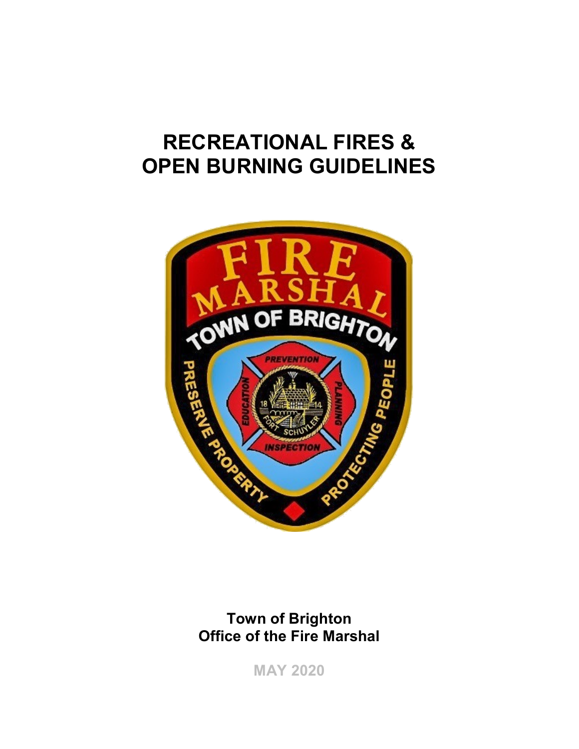# RECREATIONAL FIRES & OPEN BURNING GUIDELINES



# Town of Brighton Office of the Fire Marshal

MAY 2020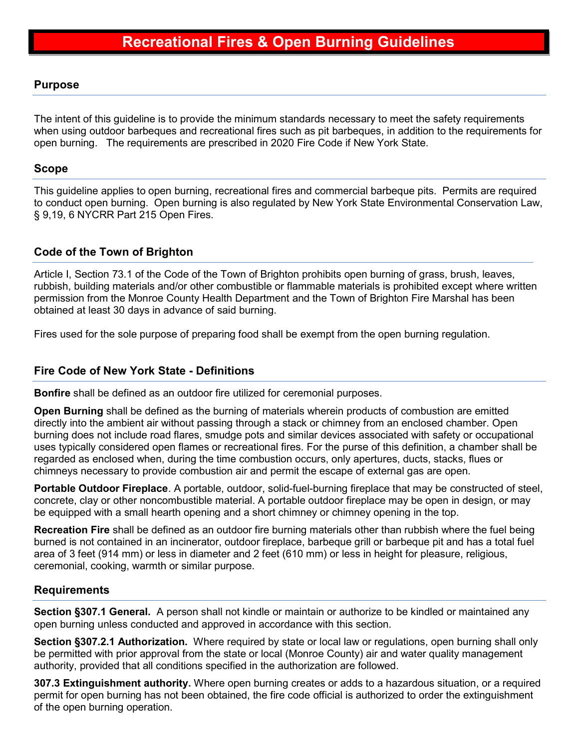### Purpose

The intent of this guideline is to provide the minimum standards necessary to meet the safety requirements when using outdoor barbeques and recreational fires such as pit barbeques, in addition to the requirements for open burning. The requirements are prescribed in 2020 Fire Code if New York State.

### Scope

This guideline applies to open burning, recreational fires and commercial barbeque pits. Permits are required to conduct open burning. Open burning is also regulated by New York State Environmental Conservation Law, § 9,19, 6 NYCRR Part 215 Open Fires.

# Code of the Town of Brighton

Article I, Section 73.1 of the Code of the Town of Brighton prohibits open burning of grass, brush, leaves, rubbish, building materials and/or other combustible or flammable materials is prohibited except where written permission from the Monroe County Health Department and the Town of Brighton Fire Marshal has been obtained at least 30 days in advance of said burning.

Fires used for the sole purpose of preparing food shall be exempt from the open burning regulation.

## Fire Code of New York State - Definitions

Bonfire shall be defined as an outdoor fire utilized for ceremonial purposes.

Open Burning shall be defined as the burning of materials wherein products of combustion are emitted directly into the ambient air without passing through a stack or chimney from an enclosed chamber. Open burning does not include road flares, smudge pots and similar devices associated with safety or occupational uses typically considered open flames or recreational fires. For the purse of this definition, a chamber shall be regarded as enclosed when, during the time combustion occurs, only apertures, ducts, stacks, flues or chimneys necessary to provide combustion air and permit the escape of external gas are open.

Portable Outdoor Fireplace. A portable, outdoor, solid-fuel-burning fireplace that may be constructed of steel, concrete, clay or other noncombustible material. A portable outdoor fireplace may be open in design, or may be equipped with a small hearth opening and a short chimney or chimney opening in the top.

Recreation Fire shall be defined as an outdoor fire burning materials other than rubbish where the fuel being burned is not contained in an incinerator, outdoor fireplace, barbeque grill or barbeque pit and has a total fuel area of 3 feet (914 mm) or less in diameter and 2 feet (610 mm) or less in height for pleasure, religious, ceremonial, cooking, warmth or similar purpose.

#### Requirements

Section §307.1 General. A person shall not kindle or maintain or authorize to be kindled or maintained any open burning unless conducted and approved in accordance with this section.

Section §307.2.1 Authorization. Where required by state or local law or regulations, open burning shall only be permitted with prior approval from the state or local (Monroe County) air and water quality management authority, provided that all conditions specified in the authorization are followed.

307.3 Extinguishment authority. Where open burning creates or adds to a hazardous situation, or a required permit for open burning has not been obtained, the fire code official is authorized to order the extinguishment of the open burning operation.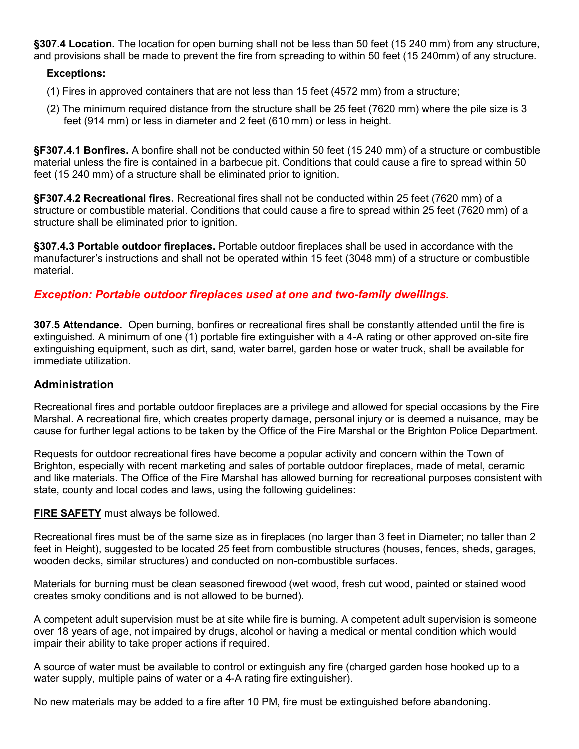§307.4 Location. The location for open burning shall not be less than 50 feet (15 240 mm) from any structure, and provisions shall be made to prevent the fire from spreading to within 50 feet (15 240mm) of any structure.

#### Exceptions:

- (1) Fires in approved containers that are not less than 15 feet (4572 mm) from a structure;
- (2) The minimum required distance from the structure shall be 25 feet (7620 mm) where the pile size is 3 feet (914 mm) or less in diameter and 2 feet (610 mm) or less in height.

§F307.4.1 Bonfires. A bonfire shall not be conducted within 50 feet (15 240 mm) of a structure or combustible material unless the fire is contained in a barbecue pit. Conditions that could cause a fire to spread within 50 feet (15 240 mm) of a structure shall be eliminated prior to ignition.

§F307.4.2 Recreational fires. Recreational fires shall not be conducted within 25 feet (7620 mm) of a structure or combustible material. Conditions that could cause a fire to spread within 25 feet (7620 mm) of a structure shall be eliminated prior to ignition.

§307.4.3 Portable outdoor fireplaces. Portable outdoor fireplaces shall be used in accordance with the manufacturer's instructions and shall not be operated within 15 feet (3048 mm) of a structure or combustible material.

#### Exception: Portable outdoor fireplaces used at one and two-family dwellings.

307.5 Attendance. Open burning, bonfires or recreational fires shall be constantly attended until the fire is extinguished. A minimum of one (1) portable fire extinguisher with a 4-A rating or other approved on-site fire extinguishing equipment, such as dirt, sand, water barrel, garden hose or water truck, shall be available for immediate utilization.

#### Administration

Recreational fires and portable outdoor fireplaces are a privilege and allowed for special occasions by the Fire Marshal. A recreational fire, which creates property damage, personal injury or is deemed a nuisance, may be cause for further legal actions to be taken by the Office of the Fire Marshal or the Brighton Police Department.

Requests for outdoor recreational fires have become a popular activity and concern within the Town of Brighton, especially with recent marketing and sales of portable outdoor fireplaces, made of metal, ceramic and like materials. The Office of the Fire Marshal has allowed burning for recreational purposes consistent with state, county and local codes and laws, using the following guidelines:

#### **FIRE SAFETY** must always be followed.

Recreational fires must be of the same size as in fireplaces (no larger than 3 feet in Diameter; no taller than 2 feet in Height), suggested to be located 25 feet from combustible structures (houses, fences, sheds, garages, wooden decks, similar structures) and conducted on non-combustible surfaces.

Materials for burning must be clean seasoned firewood (wet wood, fresh cut wood, painted or stained wood creates smoky conditions and is not allowed to be burned).

A competent adult supervision must be at site while fire is burning. A competent adult supervision is someone over 18 years of age, not impaired by drugs, alcohol or having a medical or mental condition which would impair their ability to take proper actions if required.

A source of water must be available to control or extinguish any fire (charged garden hose hooked up to a water supply, multiple pains of water or a 4-A rating fire extinguisher).

No new materials may be added to a fire after 10 PM, fire must be extinguished before abandoning.